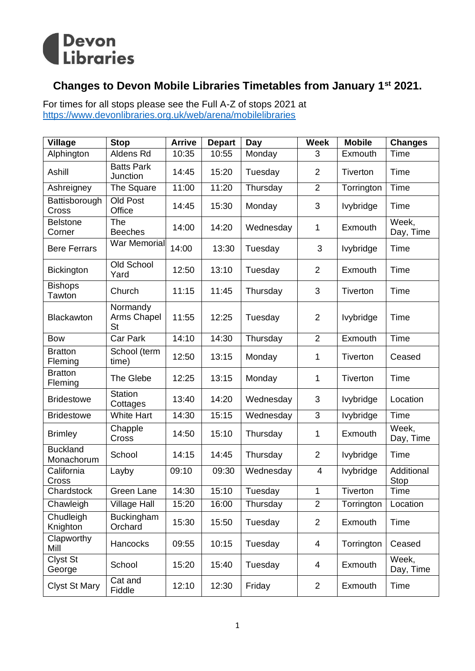

## **Changes to Devon Mobile Libraries Timetables from January 1st 2021.**

For times for all stops please see the Full A-Z of stops 2021 at <https://www.devonlibraries.org.uk/web/arena/mobilelibraries>

| <b>Village</b>                | <b>Stop</b>                          | <b>Arrive</b> | <b>Depart</b> | Day       | <b>Week</b>    | <b>Mobile</b>    | <b>Changes</b>     |
|-------------------------------|--------------------------------------|---------------|---------------|-----------|----------------|------------------|--------------------|
| Alphington                    | Aldens Rd                            | 10:35         | 10:55         | Monday    | 3              | Exmouth          | <b>Time</b>        |
| Ashill                        | <b>Batts Park</b><br>Junction        | 14:45         | 15:20         | Tuesday   | $\overline{2}$ | Tiverton         | Time               |
| Ashreigney                    | The Square                           | 11:00         | 11:20         | Thursday  | $\overline{2}$ | Torrington       | Time               |
| Battisborough<br>Cross        | Old Post<br>Office                   | 14:45         | 15:30         | Monday    | 3              | lvybridge        | Time               |
| <b>Belstone</b><br>Corner     | The<br><b>Beeches</b>                | 14:00         | 14:20         | Wednesday | 1              | Exmouth          | Week,<br>Day, Time |
| <b>Bere Ferrars</b>           | <b>War Memorial</b>                  | 14:00         | 13:30         | Tuesday   | 3              | lvybridge        | Time               |
| <b>Bickington</b>             | Old School<br>Yard                   | 12:50         | 13:10         | Tuesday   | 2              | Exmouth          | Time               |
| <b>Bishops</b><br>Tawton      | Church                               | 11:15         | 11:45         | Thursday  | 3              | <b>Tiverton</b>  | Time               |
| Blackawton                    | Normandy<br>Arms Chapel<br><b>St</b> | 11:55         | 12:25         | Tuesday   | $\overline{2}$ | lvybridge        | Time               |
| <b>Bow</b>                    | Car Park                             | 14:10         | 14:30         | Thursday  | $\overline{2}$ | Exmouth          | Time               |
| <b>Bratton</b><br>Fleming     | School (term<br>time)                | 12:50         | 13:15         | Monday    | 1              | <b>Tiverton</b>  | Ceased             |
| <b>Bratton</b><br>Fleming     | The Glebe                            | 12:25         | 13:15         | Monday    | 1              | Tiverton         | Time               |
| <b>Bridestowe</b>             | <b>Station</b><br>Cottages           | 13:40         | 14:20         | Wednesday | 3              | lvybridge        | Location           |
| <b>Bridestowe</b>             | <b>White Hart</b>                    | 14:30         | 15:15         | Wednesday | 3              | lvybridge        | <b>Time</b>        |
| <b>Brimley</b>                | Chapple<br>Cross                     | 14:50         | 15:10         | Thursday  | 1              | Exmouth          | Week,<br>Day, Time |
| <b>Buckland</b><br>Monachorum | School                               | 14:15         | 14:45         | Thursday  | $\overline{2}$ | <b>lvybridge</b> | Time               |
| California<br>Cross           | Layby                                | 09:10         | 09:30         | Wednesday | 4              | lvybridge        | Additional<br>Stop |
| Chardstock                    | Green Lane                           | 14:30         | 15:10         | Tuesday   | $\mathbf 1$    | Tiverton         | Time               |
| Chawleigh                     | <b>Village Hall</b>                  | 15:20         | 16:00         | Thursday  | $\overline{2}$ | Torrington       | Location           |
| Chudleigh<br>Knighton         | Buckingham<br>Orchard                | 15:30         | 15:50         | Tuesday   | 2              | Exmouth          | Time               |
| Clapworthy<br>Mill            | Hancocks                             | 09:55         | 10:15         | Tuesday   | 4              | Torrington       | Ceased             |
| Clyst St<br>George            | School                               | 15:20         | 15:40         | Tuesday   | 4              | Exmouth          | Week,<br>Day, Time |
| <b>Clyst St Mary</b>          | Cat and<br>Fiddle                    | 12:10         | 12:30         | Friday    | 2              | Exmouth          | Time               |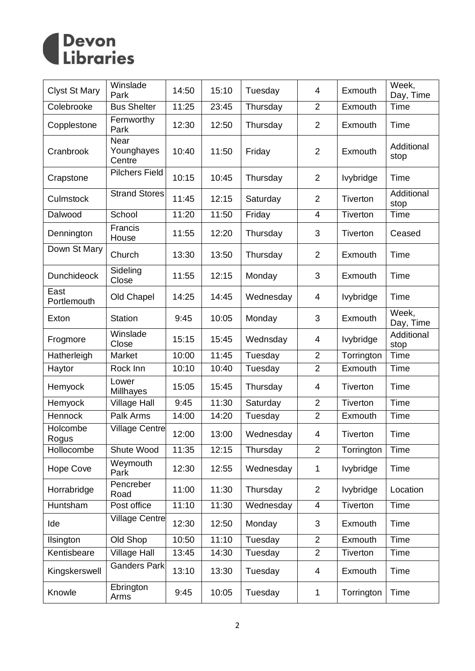

| <b>Clyst St Mary</b> | Winslade<br>Park             | 14:50 | 15:10 | Tuesday   | 4              | Exmouth          | Week,<br>Day, Time |
|----------------------|------------------------------|-------|-------|-----------|----------------|------------------|--------------------|
| Colebrooke           | <b>Bus Shelter</b>           | 11:25 | 23:45 | Thursday  | $\overline{2}$ | Exmouth          | <b>Time</b>        |
| Copplestone          | Fernworthy<br>Park           | 12:30 | 12:50 | Thursday  | $\overline{2}$ | Exmouth          | Time               |
| Cranbrook            | Near<br>Younghayes<br>Centre | 10:40 | 11:50 | Friday    | $\overline{2}$ | Exmouth          | Additional<br>stop |
| Crapstone            | <b>Pilchers Field</b>        | 10:15 | 10:45 | Thursday  | $\overline{2}$ | <b>lvybridge</b> | Time               |
| Culmstock            | <b>Strand Stores</b>         | 11:45 | 12:15 | Saturday  | $\overline{2}$ | Tiverton         | Additional<br>stop |
| Dalwood              | School                       | 11:20 | 11:50 | Friday    | 4              | Tiverton         | Time               |
| Dennington           | Francis<br>House             | 11:55 | 12:20 | Thursday  | 3              | Tiverton         | Ceased             |
| Down St Mary         | Church                       | 13:30 | 13:50 | Thursday  | $\overline{2}$ | Exmouth          | Time               |
| <b>Dunchideock</b>   | Sideling<br>Close            | 11:55 | 12:15 | Monday    | 3              | Exmouth          | <b>Time</b>        |
| East<br>Portlemouth  | Old Chapel                   | 14:25 | 14:45 | Wednesday | $\overline{4}$ | lvybridge        | Time               |
| Exton                | <b>Station</b>               | 9:45  | 10:05 | Monday    | 3              | Exmouth          | Week,<br>Day, Time |
| Frogmore             | Winslade<br>Close            | 15:15 | 15:45 | Wednsday  | 4              | <b>lvybridge</b> | Additional<br>stop |
| Hatherleigh          | Market                       | 10:00 | 11:45 | Tuesday   | $\overline{2}$ | Torrington       | <b>Time</b>        |
| Haytor               | Rock Inn                     | 10:10 | 10:40 | Tuesday   | $\overline{2}$ | Exmouth          | <b>Time</b>        |
| Hemyock              | Lower<br>Millhayes           | 15:05 | 15:45 | Thursday  | 4              | Tiverton         | Time               |
| Hemyock              | <b>Village Hall</b>          | 9:45  | 11:30 | Saturday  | $\overline{2}$ | Tiverton         | Time               |
| Hennock              | Palk Arms                    | 14:00 | 14:20 | Tuesday   | $\overline{2}$ | Exmouth          | Time               |
| Holcombe<br>Rogus    | <b>Village Centre</b>        | 12:00 | 13:00 | Wednesday | 4              | Tiverton         | Time               |
| Hollocombe           | Shute Wood                   | 11:35 | 12:15 | Thursday  | $\overline{2}$ | Torrington       | Time               |
| <b>Hope Cove</b>     | Weymouth<br>Park             | 12:30 | 12:55 | Wednesday | 1              | lvybridge        | Time               |
| Horrabridge          | Pencreber<br>Road            | 11:00 | 11:30 | Thursday  | $\overline{2}$ | <b>lvybridge</b> | Location           |
| Huntsham             | Post office                  | 11:10 | 11:30 | Wednesday | 4              | Tiverton         | Time               |
| Ide                  | <b>Village Centre</b>        | 12:30 | 12:50 | Monday    | 3              | Exmouth          | Time               |
| Ilsington            | Old Shop                     | 10:50 | 11:10 | Tuesday   | $\overline{2}$ | Exmouth          | <b>Time</b>        |
| Kentisbeare          | <b>Village Hall</b>          | 13:45 | 14:30 | Tuesday   | $\overline{2}$ | Tiverton         | Time               |
| Kingskerswell        | <b>Ganders Park</b>          | 13:10 | 13:30 | Tuesday   | 4              | Exmouth          | Time               |
| Knowle               | Ebrington<br>Arms            | 9:45  | 10:05 | Tuesday   | 1              | Torrington       | Time               |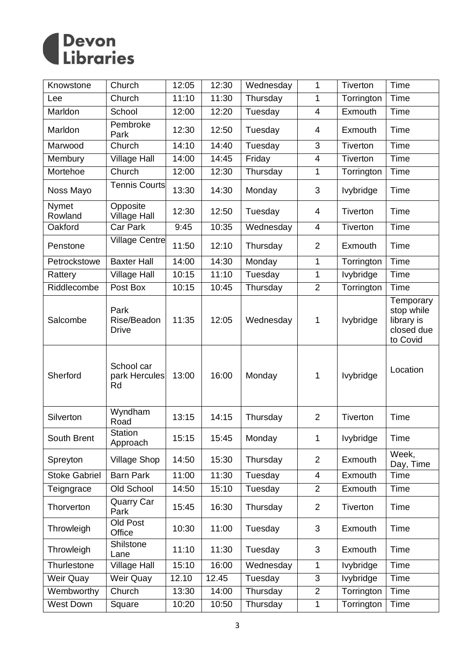

| Knowstone            | Church                              | 12:05 | 12:30 | Wednesday | 1                        | Tiverton         | <b>Time</b>                                                     |
|----------------------|-------------------------------------|-------|-------|-----------|--------------------------|------------------|-----------------------------------------------------------------|
| Lee                  | Church                              | 11:10 | 11:30 | Thursday  | $\mathbf{1}$             | Torrington       | Time                                                            |
| Marldon              | School                              | 12:00 | 12:20 | Tuesday   | $\overline{\mathcal{A}}$ | Exmouth          | <b>Time</b>                                                     |
| Marldon              | Pembroke<br>Park                    | 12:30 | 12:50 | Tuesday   | 4                        | Exmouth          | Time                                                            |
| Marwood              | Church                              | 14:10 | 14:40 | Tuesday   | 3                        | Tiverton         | Time                                                            |
| Membury              | <b>Village Hall</b>                 | 14:00 | 14:45 | Friday    | 4                        | Tiverton         | Time                                                            |
| Mortehoe             | Church                              | 12:00 | 12:30 | Thursday  | 1                        | Torrington       | <b>Time</b>                                                     |
| Noss Mayo            | <b>Tennis Courts</b>                | 13:30 | 14:30 | Monday    | 3                        | lvybridge        | Time                                                            |
| Nymet<br>Rowland     | Opposite<br><b>Village Hall</b>     | 12:30 | 12:50 | Tuesday   | 4                        | <b>Tiverton</b>  | Time                                                            |
| Oakford              | Car Park                            | 9:45  | 10:35 | Wednesday | $\overline{\mathcal{A}}$ | Tiverton         | <b>Time</b>                                                     |
| Penstone             | <b>Village Centre</b>               | 11:50 | 12:10 | Thursday  | $\overline{2}$           | Exmouth          | Time                                                            |
| Petrockstowe         | <b>Baxter Hall</b>                  | 14:00 | 14:30 | Monday    | 1                        | Torrington       | Time                                                            |
| Rattery              | <b>Village Hall</b>                 | 10:15 | 11:10 | Tuesday   | 1                        | Ivybridge        | Time                                                            |
| Riddlecombe          | Post Box                            | 10:15 | 10:45 | Thursday  | $\overline{2}$           | Torrington       | Time                                                            |
| Salcombe             | Park<br>Rise/Beadon<br><b>Drive</b> | 11:35 | 12:05 | Wednesday | 1                        | <b>lvybridge</b> | Temporary<br>stop while<br>library is<br>closed due<br>to Covid |
| Sherford             | School car<br>park Hercules<br>Rd   | 13:00 | 16:00 | Monday    | 1                        | lvybridge        | Location                                                        |
| Silverton            | Wyndham<br>Road                     | 13:15 | 14:15 | Thursday  | $\overline{2}$           | <b>Tiverton</b>  | Time                                                            |
| South Brent          | <b>Station</b><br>Approach          | 15:15 | 15:45 | Monday    | 1                        | <b>lvybridge</b> | Time                                                            |
| Spreyton             | <b>Village Shop</b>                 | 14:50 | 15:30 | Thursday  | $\overline{2}$           | Exmouth          | Week,<br>Day, Time                                              |
| <b>Stoke Gabriel</b> | <b>Barn Park</b>                    | 11:00 | 11:30 | Tuesday   | $\overline{4}$           | Exmouth          | Time                                                            |
| Teigngrace           | Old School                          | 14:50 | 15:10 | Tuesday   | $\overline{2}$           | Exmouth          | <b>Time</b>                                                     |
| Thorverton           | <b>Quarry Car</b><br>Park           | 15:45 | 16:30 | Thursday  | $\overline{2}$           | <b>Tiverton</b>  | Time                                                            |
| Throwleigh           | Old Post<br>Office                  | 10:30 | 11:00 | Tuesday   | 3                        | Exmouth          | Time                                                            |
| Throwleigh           | Shilstone<br>Lane                   | 11:10 | 11:30 | Tuesday   | 3                        | Exmouth          | Time                                                            |
| Thurlestone          | <b>Village Hall</b>                 | 15:10 | 16:00 | Wednesday | 1                        | lvybridge        | <b>Time</b>                                                     |
| Weir Quay            | <b>Weir Quay</b>                    | 12.10 | 12.45 | Tuesday   | 3                        | lvybridge        | <b>Time</b>                                                     |
| Wembworthy           | Church                              | 13:30 | 14:00 | Thursday  | $\overline{2}$           | Torrington       | Time                                                            |
| <b>West Down</b>     | Square                              | 10:20 | 10:50 | Thursday  | 1                        | Torrington       | Time                                                            |